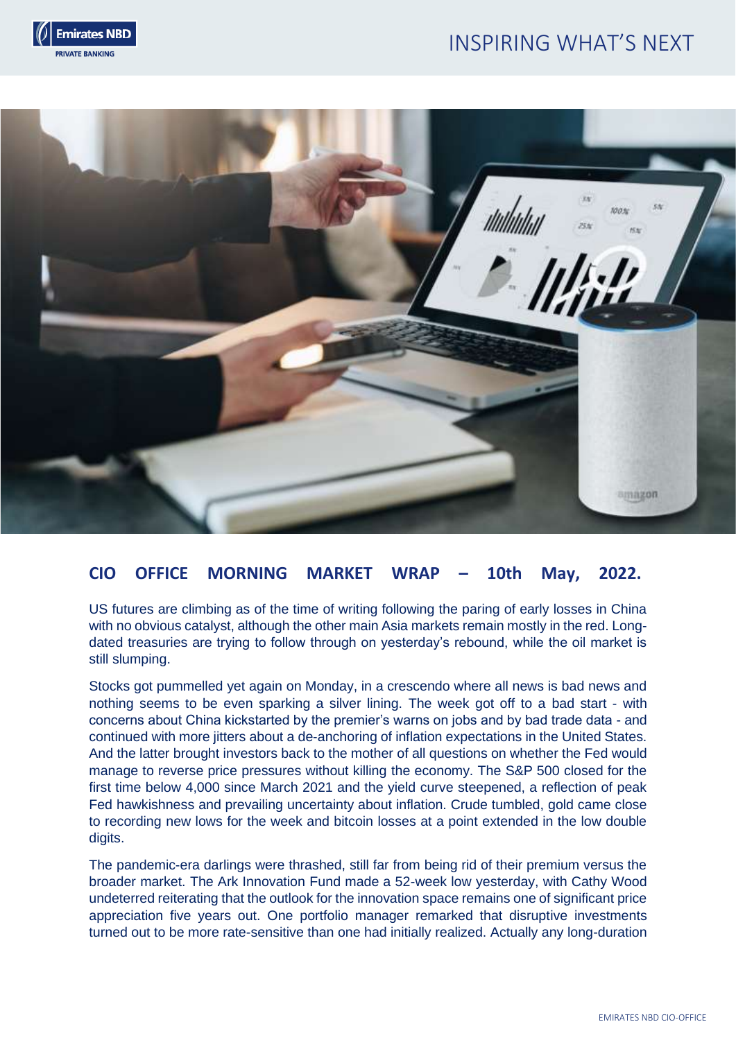# INSPIRING WHAT'S NEXT





### **CIO OFFICE MORNING MARKET WRAP – 10th May, 2022.**

US futures are climbing as of the time of writing following the paring of early losses in China with no obvious catalyst, although the other main Asia markets remain mostly in the red. Longdated treasuries are trying to follow through on yesterday's rebound, while the oil market is still slumping.

Stocks got pummelled yet again on Monday, in a crescendo where all news is bad news and nothing seems to be even sparking a silver lining. The week got off to a bad start - with concerns about China kickstarted by the premier's warns on jobs and by bad trade data - and continued with more jitters about a de-anchoring of inflation expectations in the United States. And the latter brought investors back to the mother of all questions on whether the Fed would manage to reverse price pressures without killing the economy. The S&P 500 closed for the first time below 4,000 since March 2021 and the yield curve steepened, a reflection of peak Fed hawkishness and prevailing uncertainty about inflation. Crude tumbled, gold came close to recording new lows for the week and bitcoin losses at a point extended in the low double digits.

The pandemic-era darlings were thrashed, still far from being rid of their premium versus the broader market. The Ark Innovation Fund made a 52-week low yesterday, with Cathy Wood undeterred reiterating that the outlook for the innovation space remains one of significant price appreciation five years out. One portfolio manager remarked that disruptive investments turned out to be more rate-sensitive than one had initially realized. Actually any long-duration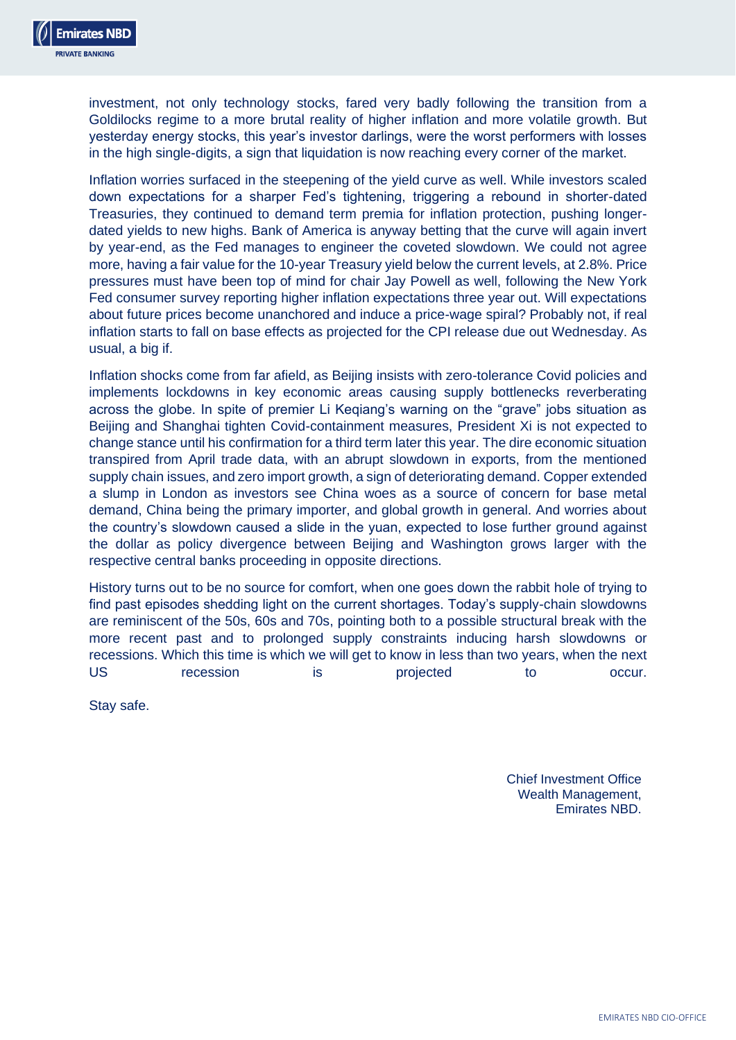

investment, not only technology stocks, fared very badly following the transition from a Goldilocks regime to a more brutal reality of higher inflation and more volatile growth. But yesterday energy stocks, this year's investor darlings, were the worst performers with losses in the high single-digits, a sign that liquidation is now reaching every corner of the market.

Inflation worries surfaced in the steepening of the yield curve as well. While investors scaled down expectations for a sharper Fed's tightening, triggering a rebound in shorter-dated Treasuries, they continued to demand term premia for inflation protection, pushing longerdated yields to new highs. Bank of America is anyway betting that the curve will again invert by year-end, as the Fed manages to engineer the coveted slowdown. We could not agree more, having a fair value for the 10-year Treasury yield below the current levels, at 2.8%. Price pressures must have been top of mind for chair Jay Powell as well, following the New York Fed consumer survey reporting higher inflation expectations three year out. Will expectations about future prices become unanchored and induce a price-wage spiral? Probably not, if real inflation starts to fall on base effects as projected for the CPI release due out Wednesday. As usual, a big if.

Inflation shocks come from far afield, as Beijing insists with zero-tolerance Covid policies and implements lockdowns in key economic areas causing supply bottlenecks reverberating across the globe. In spite of premier Li Keqiang's warning on the "grave" jobs situation as Beijing and Shanghai tighten Covid-containment measures, President Xi is not expected to change stance until his confirmation for a third term later this year. The dire economic situation transpired from April trade data, with an abrupt slowdown in exports, from the mentioned supply chain issues, and zero import growth, a sign of deteriorating demand. Copper extended a slump in London as investors see China woes as a source of concern for base metal demand, China being the primary importer, and global growth in general. And worries about the country's slowdown caused a slide in the yuan, expected to lose further ground against the dollar as policy divergence between Beijing and Washington grows larger with the respective central banks proceeding in opposite directions.

History turns out to be no source for comfort, when one goes down the rabbit hole of trying to find past episodes shedding light on the current shortages. Today's supply-chain slowdowns are reminiscent of the 50s, 60s and 70s, pointing both to a possible structural break with the more recent past and to prolonged supply constraints inducing harsh slowdowns or recessions. Which this time is which we will get to know in less than two years, when the next US recession is projected to occur.

Stay safe.

Chief Investment Office Wealth Management, Emirates NBD.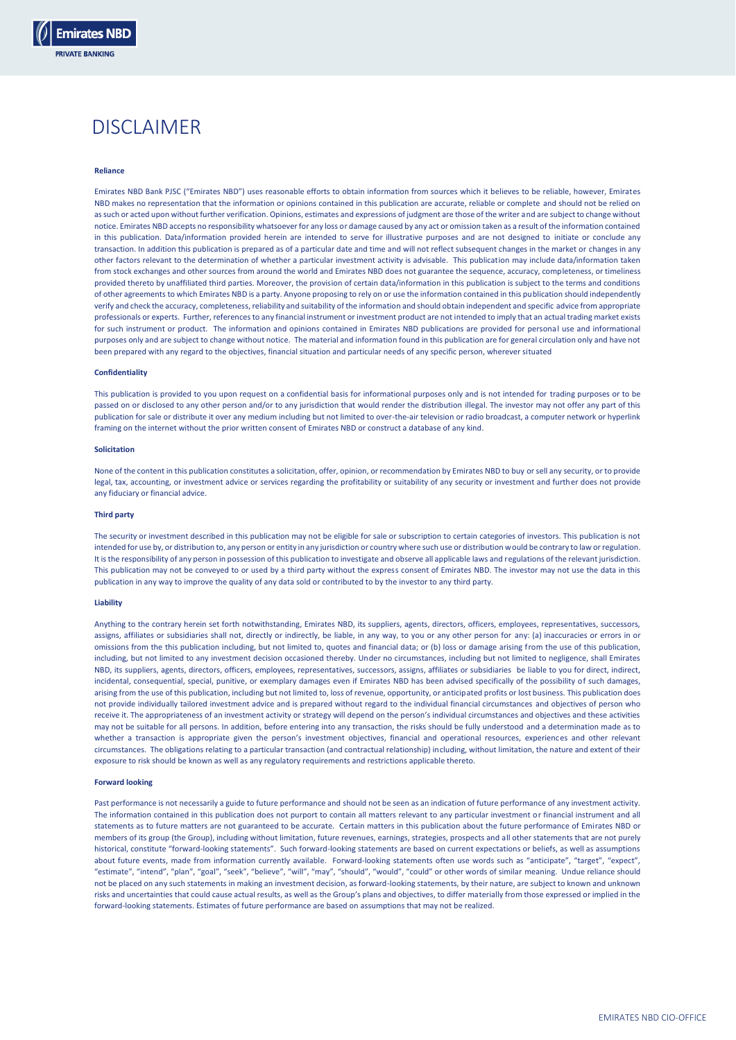

## DISCLAIMER

#### **Reliance**

Emirates NBD Bank PJSC ("Emirates NBD") uses reasonable efforts to obtain information from sources which it believes to be reliable, however, Emirates NBD makes no representation that the information or opinions contained in this publication are accurate, reliable or complete and should not be relied on as such or acted upon without further verification. Opinions, estimates and expressions of judgment are those of the writer and are subject to change without notice. Emirates NBD accepts no responsibility whatsoever for any loss or damage caused by any act or omission taken as a result of the information contained in this publication. Data/information provided herein are intended to serve for illustrative purposes and are not designed to initiate or conclude any transaction. In addition this publication is prepared as of a particular date and time and will not reflect subsequent changes in the market or changes in any other factors relevant to the determination of whether a particular investment activity is advisable. This publication may include data/information taken from stock exchanges and other sources from around the world and Emirates NBD does not guarantee the sequence, accuracy, completeness, or timeliness provided thereto by unaffiliated third parties. Moreover, the provision of certain data/information in this publication is subject to the terms and conditions of other agreements to which Emirates NBD is a party. Anyone proposing to rely on or use the information contained in this publication should independently verify and check the accuracy, completeness, reliability and suitability of the information and should obtain independent and specific advice from appropriate professionals or experts. Further, references to any financial instrument or investment product are not intended to imply that an actual trading market exists for such instrument or product. The information and opinions contained in Emirates NBD publications are provided for personal use and informational purposes only and are subject to change without notice. The material and information found in this publication are for general circulation only and have not been prepared with any regard to the objectives, financial situation and particular needs of any specific person, wherever situated

#### **Confidentiality**

This publication is provided to you upon request on a confidential basis for informational purposes only and is not intended for trading purposes or to be passed on or disclosed to any other person and/or to any jurisdiction that would render the distribution illegal. The investor may not offer any part of this publication for sale or distribute it over any medium including but not limited to over-the-air television or radio broadcast, a computer network or hyperlink framing on the internet without the prior written consent of Emirates NBD or construct a database of any kind.

#### **Solicitation**

None of the content in this publication constitutes a solicitation, offer, opinion, or recommendation by Emirates NBD to buy or sell any security, or to provide legal, tax, accounting, or investment advice or services regarding the profitability or suitability of any security or investment and further does not provide any fiduciary or financial advice.

#### **Third party**

The security or investment described in this publication may not be eligible for sale or subscription to certain categories of investors. This publication is not intended for use by, or distribution to, any person or entity in any jurisdiction or country where such use or distribution would be contrary to law or regulation. It is the responsibility of any person in possession of this publication to investigate and observe all applicable laws and regulations of the relevant jurisdiction. This publication may not be conveyed to or used by a third party without the express consent of Emirates NBD. The investor may not use the data in this publication in any way to improve the quality of any data sold or contributed to by the investor to any third party.

#### **Liability**

Anything to the contrary herein set forth notwithstanding, Emirates NBD, its suppliers, agents, directors, officers, employees, representatives, successors, assigns, affiliates or subsidiaries shall not, directly or indirectly, be liable, in any way, to you or any other person for any: (a) inaccuracies or errors in or omissions from the this publication including, but not limited to, quotes and financial data; or (b) loss or damage arising from the use of this publication, including, but not limited to any investment decision occasioned thereby. Under no circumstances, including but not limited to negligence, shall Emirates NBD, its suppliers, agents, directors, officers, employees, representatives, successors, assigns, affiliates or subsidiaries be liable to you for direct, indirect, incidental, consequential, special, punitive, or exemplary damages even if Emirates NBD has been advised specifically of the possibility of such damages, arising from the use of this publication, including but not limited to, loss of revenue, opportunity, or anticipated profits or lost business. This publication does not provide individually tailored investment advice and is prepared without regard to the individual financial circumstances and objectives of person who receive it. The appropriateness of an investment activity or strategy will depend on the person's individual circumstances and objectives and these activities may not be suitable for all persons. In addition, before entering into any transaction, the risks should be fully understood and a determination made as to whether a transaction is appropriate given the person's investment objectives, financial and operational resources, experiences and other relevant circumstances. The obligations relating to a particular transaction (and contractual relationship) including, without limitation, the nature and extent of their exposure to risk should be known as well as any regulatory requirements and restrictions applicable thereto.

#### **Forward looking**

Past performance is not necessarily a guide to future performance and should not be seen as an indication of future performance of any investment activity. The information contained in this publication does not purport to contain all matters relevant to any particular investment or financial instrument and all statements as to future matters are not guaranteed to be accurate. Certain matters in this publication about the future performance of Emirates NBD or members of its group (the Group), including without limitation, future revenues, earnings, strategies, prospects and all other statements that are not purely historical, constitute "forward-looking statements". Such forward-looking statements are based on current expectations or beliefs, as well as assumptions about future events, made from information currently available. Forward-looking statements often use words such as "anticipate", "target", "expect", "estimate", "intend", "plan", "goal", "seek", "believe", "will", "may", "should", "would", "could" or other words of similar meaning. Undue reliance should not be placed on any such statements in making an investment decision, as forward-looking statements, by their nature, are subject to known and unknown risks and uncertainties that could cause actual results, as well as the Group's plans and objectives, to differ materially from those expressed or implied in the forward-looking statements. Estimates of future performance are based on assumptions that may not be realized.